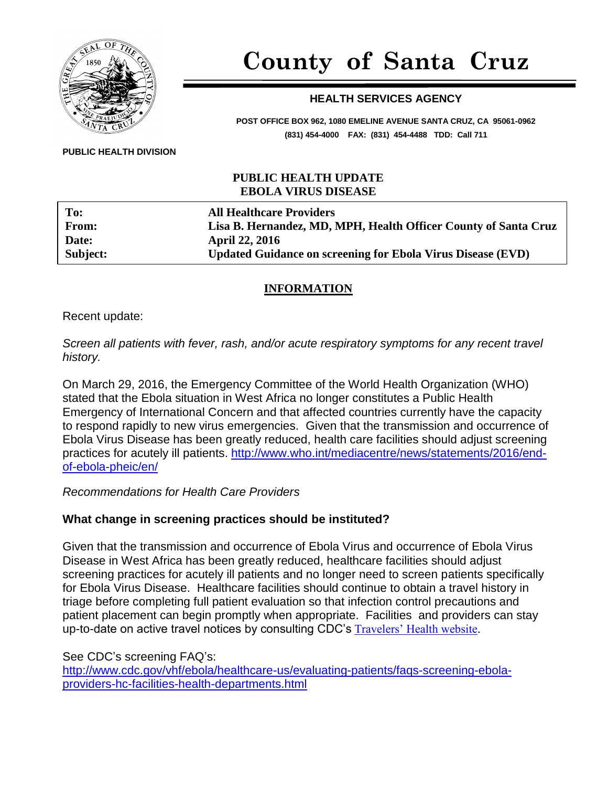

# **County of Santa Cruz**

# **HEALTH SERVICES AGENCY**

**POST OFFICE BOX 962, 1080 EMELINE AVENUE SANTA CRUZ, CA 95061-0962 (831) 454-4000 FAX: (831) 454-4488 TDD: Call 711**

#### **PUBLIC HEALTH DIVISION**

### **PUBLIC HEALTH UPDATE EBOLA VIRUS DISEASE**

| To:      | <b>All Healthcare Providers</b>                                    |
|----------|--------------------------------------------------------------------|
| From:    | Lisa B. Hernandez, MD, MPH, Health Officer County of Santa Cruz    |
| Date:    | <b>April 22, 2016</b>                                              |
| Subject: | <b>Updated Guidance on screening for Ebola Virus Disease (EVD)</b> |

# **INFORMATION**

Recent update:

*Screen all patients with fever, rash, and/or acute respiratory symptoms for any recent travel history.*

On March 29, 2016, the Emergency Committee of the World Health Organization (WHO) stated that the Ebola situation in West Africa no longer constitutes a Public Health Emergency of International Concern and that affected countries currently have the capacity to respond rapidly to new virus emergencies. Given that the transmission and occurrence of Ebola Virus Disease has been greatly reduced, health care facilities should adjust screening practices for acutely ill patients. [http://www.who.int/mediacentre/news/statements/2016/end](http://www.who.int/mediacentre/news/statements/2016/end-of-ebola-pheic/en/)[of-ebola-pheic/en/](http://www.who.int/mediacentre/news/statements/2016/end-of-ebola-pheic/en/)

*Recommendations for Health Care Providers* 

# **What change in screening practices should be instituted?**

Given that the transmission and occurrence of Ebola Virus and occurrence of Ebola Virus Disease in West Africa has been greatly reduced, healthcare facilities should adjust screening practices for acutely ill patients and no longer need to screen patients specifically for Ebola Virus Disease. Healthcare facilities should continue to obtain a travel history in triage before completing full patient evaluation so that infection control precautions and patient placement can begin promptly when appropriate. Facilities and providers can stay up-to-date on active travel notices by consulting CDC's [Travelers' Health website.](Travelers)

See CDC's screening FAQ's: [http://www.cdc.gov/vhf/ebola/healthcare-us/evaluating-patients/faqs-screening-ebola](http://www.cdc.gov/vhf/ebola/healthcare-us/evaluating-patients/faqs-screening-ebola-providers-hc-facilities-health-departments.html)[providers-hc-facilities-health-departments.html](http://www.cdc.gov/vhf/ebola/healthcare-us/evaluating-patients/faqs-screening-ebola-providers-hc-facilities-health-departments.html)